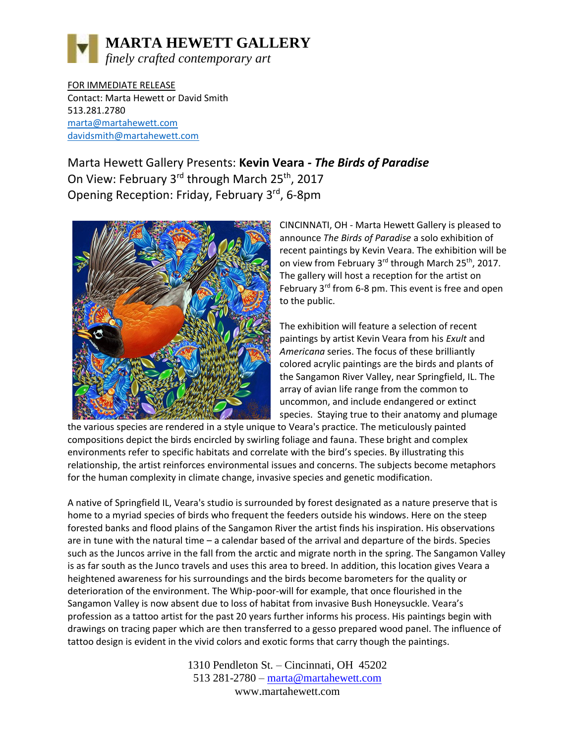

FOR IMMEDIATE RELEASE Contact: Marta Hewett or David Smith 513.281.2780 [marta@martahewett.com](mailto:marta@martahewett.com) davidsmith@martahewett.com

Marta Hewett Gallery Presents: **Kevin Veara** *- The Birds of Paradise* On View: February 3<sup>rd</sup> through March 25<sup>th</sup>, 2017 Opening Reception: Friday, February 3rd, 6-8pm



CINCINNATI, OH - Marta Hewett Gallery is pleased to announce *The Birds of Paradise* a solo exhibition of recent paintings by Kevin Veara. The exhibition will be on view from February 3<sup>rd</sup> through March 25<sup>th</sup>, 2017. The gallery will host a reception for the artist on February  $3^{rd}$  from 6-8 pm. This event is free and open to the public.

The exhibition will feature a selection of recent paintings by artist Kevin Veara from his *Exult* and *Americana* series. The focus of these brilliantly colored acrylic paintings are the birds and plants of the Sangamon River Valley, near Springfield, IL. The array of avian life range from the common to uncommon, and include endangered or extinct species. Staying true to their anatomy and plumage

the various species are rendered in a style unique to Veara's practice. The meticulously painted compositions depict the birds encircled by swirling foliage and fauna. These bright and complex environments refer to specific habitats and correlate with the bird's species. By illustrating this relationship, the artist reinforces environmental issues and concerns. The subjects become metaphors for the human complexity in climate change, invasive species and genetic modification.

A native of Springfield IL, Veara's studio is surrounded by forest designated as a nature preserve that is home to a myriad species of birds who frequent the feeders outside his windows. Here on the steep forested banks and flood plains of the Sangamon River the artist finds his inspiration. His observations are in tune with the natural time – a calendar based of the arrival and departure of the birds. Species such as the Juncos arrive in the fall from the arctic and migrate north in the spring. The Sangamon Valley is as far south as the Junco travels and uses this area to breed. In addition, this location gives Veara a heightened awareness for his surroundings and the birds become barometers for the quality or deterioration of the environment. The Whip-poor-will for example, that once flourished in the Sangamon Valley is now absent due to loss of habitat from invasive Bush Honeysuckle. Veara's profession as a tattoo artist for the past 20 years further informs his process. His paintings begin with drawings on tracing paper which are then transferred to a gesso prepared wood panel. The influence of tattoo design is evident in the vivid colors and exotic forms that carry though the paintings.

> 1310 Pendleton St. – Cincinnati, OH 45202 513 281-2780 – [marta@martahewett.com](mailto:marta@martahewett.com) www.martahewett.com